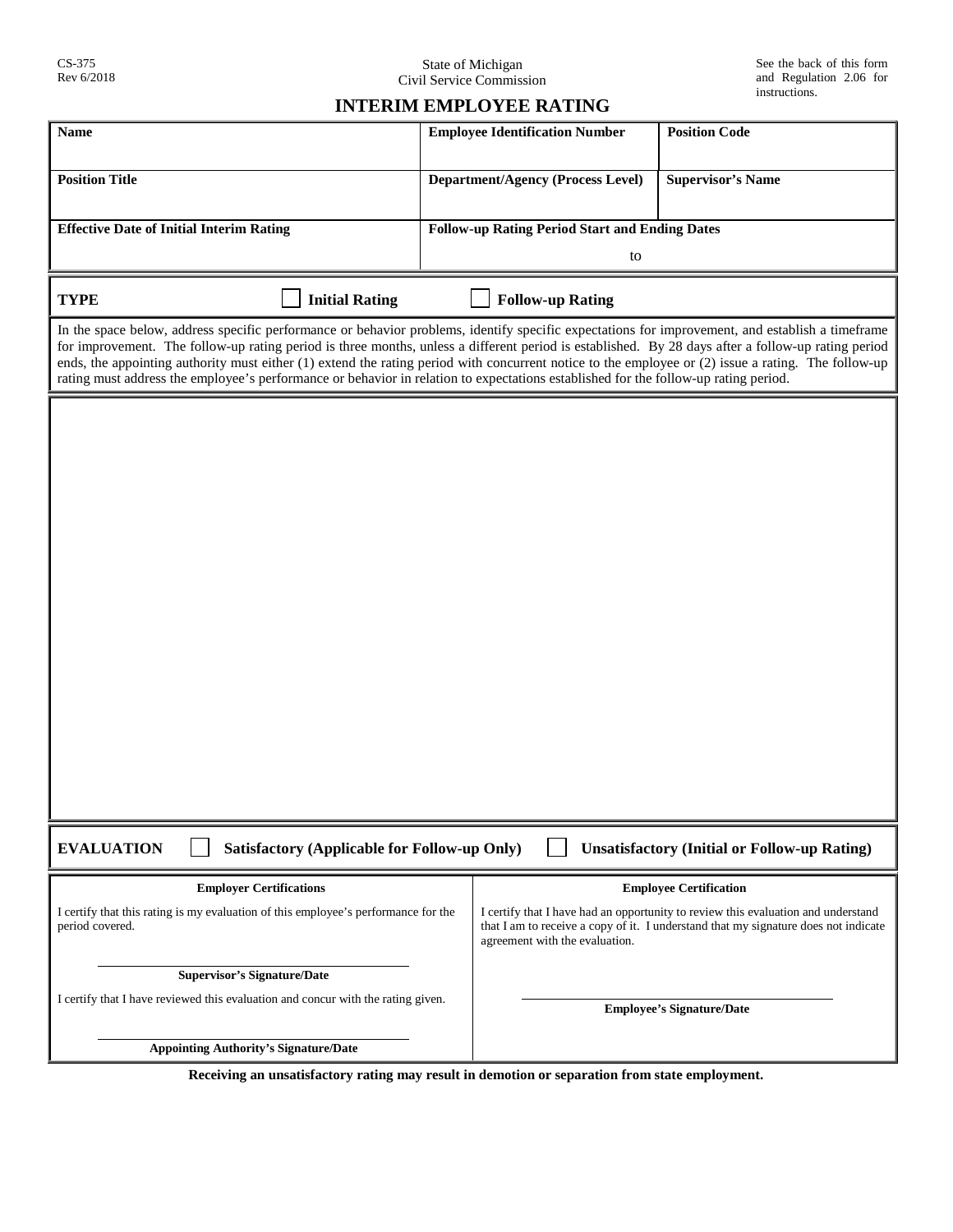State of Michigan Civil Service Commission

## **INTERIM EMPLOYEE RATING**

| <b>Name</b>                                                                                                                                                                                                                                                                                                                                                                                                                                                                                                                                                                                          | <b>Employee Identification Number</b><br><b>Position Code</b>                                                                                                                                              |
|------------------------------------------------------------------------------------------------------------------------------------------------------------------------------------------------------------------------------------------------------------------------------------------------------------------------------------------------------------------------------------------------------------------------------------------------------------------------------------------------------------------------------------------------------------------------------------------------------|------------------------------------------------------------------------------------------------------------------------------------------------------------------------------------------------------------|
| <b>Position Title</b>                                                                                                                                                                                                                                                                                                                                                                                                                                                                                                                                                                                | <b>Department/Agency (Process Level)</b><br><b>Supervisor's Name</b>                                                                                                                                       |
| <b>Effective Date of Initial Interim Rating</b>                                                                                                                                                                                                                                                                                                                                                                                                                                                                                                                                                      | <b>Follow-up Rating Period Start and Ending Dates</b>                                                                                                                                                      |
|                                                                                                                                                                                                                                                                                                                                                                                                                                                                                                                                                                                                      | to                                                                                                                                                                                                         |
| <b>TYPE</b><br><b>Initial Rating</b>                                                                                                                                                                                                                                                                                                                                                                                                                                                                                                                                                                 | <b>Follow-up Rating</b>                                                                                                                                                                                    |
| In the space below, address specific performance or behavior problems, identify specific expectations for improvement, and establish a timeframe<br>for improvement. The follow-up rating period is three months, unless a different period is established. By 28 days after a follow-up rating period<br>ends, the appointing authority must either (1) extend the rating period with concurrent notice to the employee or (2) issue a rating. The follow-up<br>rating must address the employee's performance or behavior in relation to expectations established for the follow-up rating period. |                                                                                                                                                                                                            |
|                                                                                                                                                                                                                                                                                                                                                                                                                                                                                                                                                                                                      |                                                                                                                                                                                                            |
|                                                                                                                                                                                                                                                                                                                                                                                                                                                                                                                                                                                                      |                                                                                                                                                                                                            |
|                                                                                                                                                                                                                                                                                                                                                                                                                                                                                                                                                                                                      |                                                                                                                                                                                                            |
|                                                                                                                                                                                                                                                                                                                                                                                                                                                                                                                                                                                                      |                                                                                                                                                                                                            |
|                                                                                                                                                                                                                                                                                                                                                                                                                                                                                                                                                                                                      |                                                                                                                                                                                                            |
|                                                                                                                                                                                                                                                                                                                                                                                                                                                                                                                                                                                                      |                                                                                                                                                                                                            |
|                                                                                                                                                                                                                                                                                                                                                                                                                                                                                                                                                                                                      |                                                                                                                                                                                                            |
|                                                                                                                                                                                                                                                                                                                                                                                                                                                                                                                                                                                                      |                                                                                                                                                                                                            |
|                                                                                                                                                                                                                                                                                                                                                                                                                                                                                                                                                                                                      |                                                                                                                                                                                                            |
|                                                                                                                                                                                                                                                                                                                                                                                                                                                                                                                                                                                                      |                                                                                                                                                                                                            |
|                                                                                                                                                                                                                                                                                                                                                                                                                                                                                                                                                                                                      |                                                                                                                                                                                                            |
|                                                                                                                                                                                                                                                                                                                                                                                                                                                                                                                                                                                                      |                                                                                                                                                                                                            |
|                                                                                                                                                                                                                                                                                                                                                                                                                                                                                                                                                                                                      |                                                                                                                                                                                                            |
| <b>EVALUATION</b><br>Satisfactory (Applicable for Follow-up Only)<br><b>Unsatisfactory (Initial or Follow-up Rating)</b>                                                                                                                                                                                                                                                                                                                                                                                                                                                                             |                                                                                                                                                                                                            |
| <b>Employer Certifications</b>                                                                                                                                                                                                                                                                                                                                                                                                                                                                                                                                                                       | <b>Employee Certification</b>                                                                                                                                                                              |
| I certify that this rating is my evaluation of this employee's performance for the<br>period covered.                                                                                                                                                                                                                                                                                                                                                                                                                                                                                                | I certify that I have had an opportunity to review this evaluation and understand<br>that I am to receive a copy of it. I understand that my signature does not indicate<br>agreement with the evaluation. |
| <b>Supervisor's Signature/Date</b>                                                                                                                                                                                                                                                                                                                                                                                                                                                                                                                                                                   |                                                                                                                                                                                                            |
| I certify that I have reviewed this evaluation and concur with the rating given.                                                                                                                                                                                                                                                                                                                                                                                                                                                                                                                     | <b>Employee's Signature/Date</b>                                                                                                                                                                           |
| <b>Appointing Authority's Signature/Date</b>                                                                                                                                                                                                                                                                                                                                                                                                                                                                                                                                                         |                                                                                                                                                                                                            |

**Receiving an unsatisfactory rating may result in demotion or separation from state employment.**